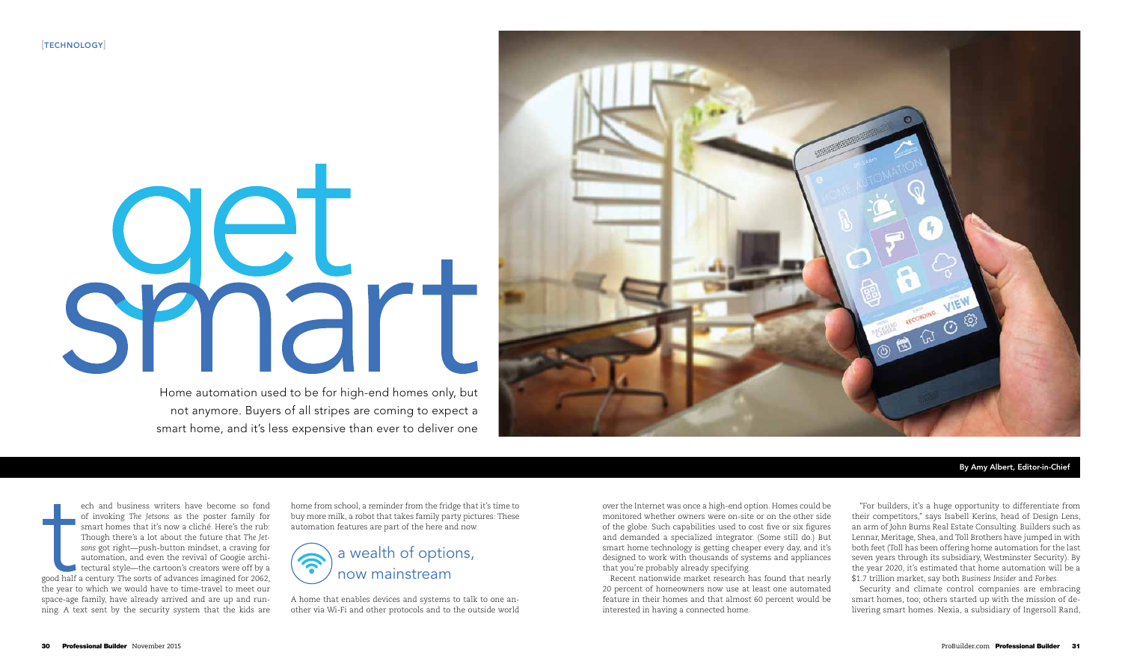over the Internet was once a high-end option. Homes could be monitored whether owners were on-site or on the other side of the globe. Such capabilities used to cost five or six figures and demanded a specialized integrator. (Some still do.) But smart home technology is getting cheaper every day, and it's designed to work with thousands of systems and appliances that you're probably already specifying.

Recent nationwide market research has found that nearly 20 percent of homeowners now use at least one automated feature in their homes and that almost 60 percent would be interested in having a connected home.



# UCL shart Home automation used to be for high-end homes only, but

"For builders, it's a huge opportunity to differentiate from their competitors," says Isabell Kerins, head of Design Lens, an arm of John Burns Real Estate Consulting. Builders such as Lennar, Meritage, Shea, and Toll Brothers have jumped in with both feet (Toll has been offering home automation for the last seven years through its subsidiary, Westminster Security). By the year 2020, it's estimated that home automation will be a \$1.7 trillion market, say both *Business Insider* and *Forbes*.

speed half ech and business writers have become so fond of invoking *The Jetsons* as the poster family for smart homes that it's now a cliché. Here's the rub: Though there's a lot about the future that *The Jetsons* got right—push-button mindset, a craving for automation, and even the revival of Googie archi-I tectural style—the cartoon's creators were off by a good half a century. The sorts of advances imagined for 2062, the year to which we would have to time-travel to meet our space-age family, have already arrived and are up and running. A text sent by the security system that the kids are

Security and climate control companies are embracing smart homes, too; others started up with the mission of delivering smart homes. Nexia, a subsidiary of Ingersoll Rand,

not anymore. Buyers of all stripes are coming to expect a smart home, and it's less expensive than ever to deliver one

By Amy Albert, Editor-in-Chief

home from school, a reminder from the fridge that it's time to buy more milk, a robot that takes family party pictures: These automation features are part of the here and now.



A home that enables devices and systems to talk to one another via Wi-Fi and other protocols and to the outside world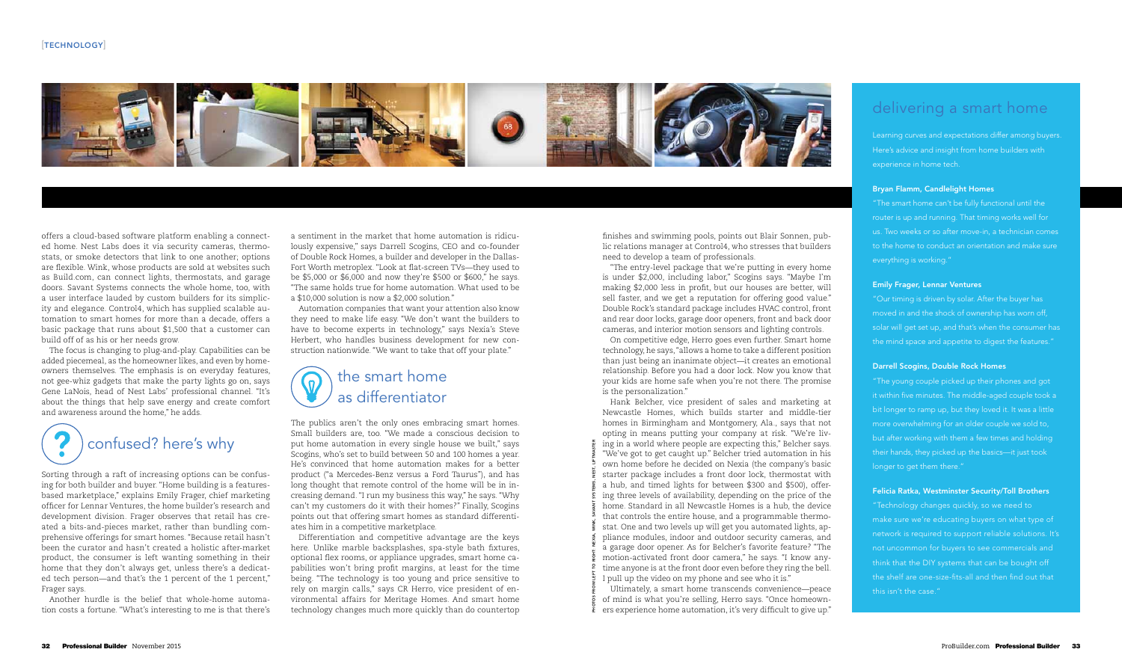#### $[TECHNOLOGY]$



offers a cloud-based software platform enabling a connected home. Nest Labs does it via security cameras, thermostats, or smoke detectors that link to one another; options are flexible. Wink, whose products are sold at websites such as Build.com, can connect lights, thermostats, and garage doors. Savant Systems connects the whole home, too, with a user interface lauded by custom builders for its simplicity and elegance. Control4, which has supplied scalable automation to smart homes for more than a decade, offers a basic package that runs about \$1,500 that a customer can build off of as his or her needs grow.

The focus is changing to plug-and-play. Capabilities can be added piecemeal, as the homeowner likes, and even by homeowners themselves. The emphasis is on everyday features, not gee-whiz gadgets that make the party lights go on, says Gene LaNois, head of Nest Labs' professional channel. "It's about the things that help save energy and create comfort and awareness around the home," he adds.



Sorting through a raft of increasing options can be confusing for both builder and buyer. "Home building is a featuresbased marketplace," explains Emily Frager, chief marketing officer for Lennar Ventures, the home builder's research and development division. Frager observes that retail has created a bits-and-pieces market, rather than bundling comprehensive offerings for smart homes. "Because retail hasn't been the curator and hasn't created a holistic after-market product, the consumer is left wanting something in their home that they don't always get, unless there's a dedicated tech person—and that's the 1 percent of the 1 percent," Frager says.

Another hurdle is the belief that whole-home automation costs a fortune. "What's interesting to me is that there's

a sentiment in the market that home automation is ridiculously expensive," says Darrell Scogins, CEO and co-founder of Double Rock Homes, a builder and developer in the Dallas-Fort Worth metroplex. "Look at flat-screen TVs—they used to be \$5,000 or \$6,000 and now they're \$500 or \$600," he says. "The same holds true for home automation. What used to be a \$10,000 solution is now a \$2,000 solution."

Automation companies that want your attention also know they need to make life easy. "We don't want the builders to have to become experts in technology," says Nexia's Steve Herbert, who handles business development for new construction nationwide. "We want to take that off your plate."

#### the smart home  $\mathcal{P}$ as differentiator

The publics aren't the only ones embracing smart homes. Small builders are, too. "We made a conscious decision to put home automation in every single house we built," says Scogins, who's set to build between 50 and 100 homes a year. He's convinced that home automation makes for a better product ("a Mercedes-Benz versus a Ford Taurus"), and has long thought that remote control of the home will be in increasing demand. "I run my business this way," he says. "Why can't my customers do it with their homes?" Finally, Scogins points out that offering smart homes as standard differentiates him in a competitive marketplace.

Differentiation and competitive advantage are the keys here. Unlike marble backsplashes, spa-style bath fixtures, optional flex rooms, or appliance upgrades, smart home capabilities won't bring profit margins, at least for the time being. "The technology is too young and price sensitive to rely on margin calls," says CR Herro, vice president of environmental affairs for Meritage Homes. And smart home technology changes much more quickly than do countertop

finishes and swimming pools, points out Blair Sonnen, public relations manager at Control4, who stresses that builders need to develop a team of professionals.

"The entry-level package that we're putting in every home is under \$2,000, including labor," Scogins says. "Maybe I'm making \$2,000 less in profit, but our houses are better, will sell faster, and we get a reputation for offering good value." Double Rock's standard package includes HVAC control, front and rear door locks, garage door openers, front and back door cameras, and interior motion sensors and lighting controls. On competitive edge, Herro goes even further. Smart home technology, he says, "allows a home to take a different position than just being an inanimate object—it creates an emotional relationship. Before you had a door lock. Now you know that your kids are home safe when you're not there. The promise

is the personalization."

Hank Belcher, vice president of sales and marketing at Newcastle Homes, which builds starter and middle-tier homes in Birmingham and Montgomery, Ala., says that not opting in means putting your company at risk. "We're liv- $\frac{3}{2}$  ing in a world where people are expecting this," Belcher says. "We've got to get caught up." Belcher tried automation in his own home before he decided on Nexia (the company's basic starter package includes a front door lock, thermostat with a hub, and timed lights for between \$300 and \$500), offering three levels of availability, depending on the price of the home. Standard in all Newcastle Homes is a hub, the device that controls the entire house, and a programmable thermostat. One and two levels up will get you automated lights, appliance modules, indoor and outdoor security cameras, and a garage door opener. As for Belcher's favorite feature? "The motion-activated front door camera," he says. "I know anytime anyone is at the front door even before they ring the bell. I pull up the video on my phone and see who it is."

Ultimately, a smart home transcends convenience—peace of mind is what you're selling, Herro says. "Once homeowners experience home automation, it's very difficult to give up."

## delivering a smart home

Learning curves and expectations differ among buyers. Here's advice and insight from home builders with experience in home tech.

#### Bryan Flamm, Candlelight Homes

"The smart home can't be fully functional until the us. Two weeks or so after move-in, a technician comes to the home to conduct an orientation and make sure everything is working."

#### Emily Frager, Lennar Ventures

"Our timing is driven by solar. After the buyer has moved in and the shock of ownership has worn off, solar will get set up, and that's when the consumer has the mind space and appetite to digest the features."

#### Darrell Scogins, Double Rock Homes

"The young couple picked up their phones and got it within five minutes. The middle-aged couple took a bit longer to ramp up, but they loved it. It was a little more overwhelming for an older couple we sold to, but after working with them a few times and holding their hands, they picked up the basics—it just took longer to get them there."

#### Felicia Ratka, Westminster Security/Toll Brothers

"Technology changes quickly, so we need to make sure we're educating buyers on what type of network is required to support reliable solutions. It's think that the DIY systems that can be bought off the shelf are one-size-fits-all and then find out that this isn't the case."

Photos from left to right: Nexia, Wink, Savant Systems, Nest, LiftMaster